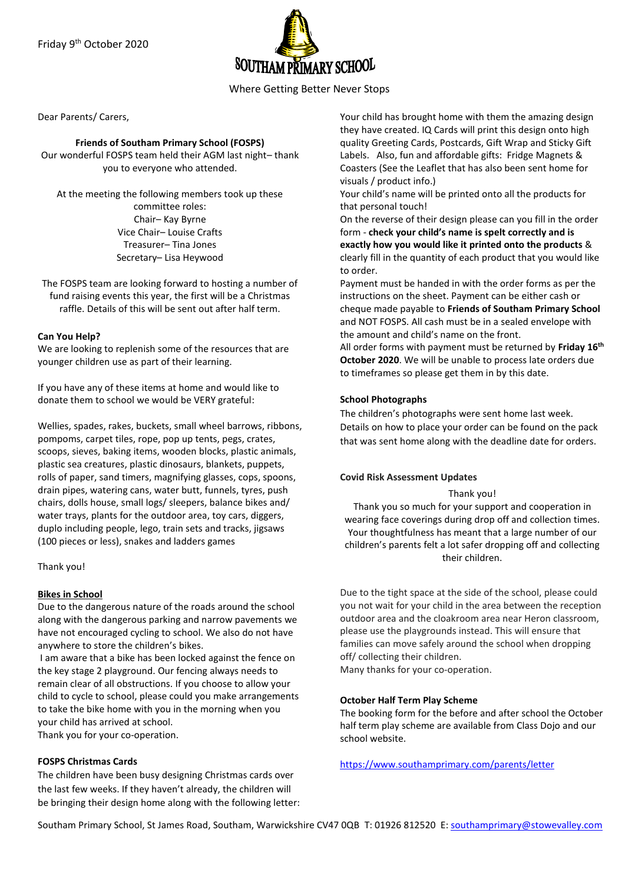

Where Getting Better Never Stops

Dear Parents/ Carers,

### **Friends of Southam Primary School (FOSPS)**

Our wonderful FOSPS team held their AGM last night– thank you to everyone who attended.

At the meeting the following members took up these committee roles: Chair– Kay Byrne Vice Chair– Louise Crafts Treasurer– Tina Jones Secretary– Lisa Heywood

The FOSPS team are looking forward to hosting a number of fund raising events this year, the first will be a Christmas raffle. Details of this will be sent out after half term.

### **Can You Help?**

We are looking to replenish some of the resources that are younger children use as part of their learning.

If you have any of these items at home and would like to donate them to school we would be VERY grateful:

Wellies, spades, rakes, buckets, small wheel barrows, ribbons, pompoms, carpet tiles, rope, pop up tents, pegs, crates, scoops, sieves, baking items, wooden blocks, plastic animals, plastic sea creatures, plastic dinosaurs, blankets, puppets, rolls of paper, sand timers, magnifying glasses, cops, spoons, drain pipes, watering cans, water butt, funnels, tyres, push chairs, dolls house, small logs/ sleepers, balance bikes and/ water trays, plants for the outdoor area, toy cars, diggers, duplo including people, lego, train sets and tracks, jigsaws (100 pieces or less), snakes and ladders games

Thank you!

# **Bikes in School**

Due to the dangerous nature of the roads around the school along with the dangerous parking and narrow pavements we have not encouraged cycling to school. We also do not have anywhere to store the children's bikes.

I am aware that a bike has been locked against the fence on the key stage 2 playground. Our fencing always needs to remain clear of all obstructions. If you choose to allow your child to cycle to school, please could you make arrangements to take the bike home with you in the morning when you your child has arrived at school.

Thank you for your co-operation.

### **FOSPS Christmas Cards**

The children have been busy designing Christmas cards over the last few weeks. If they haven't already, the children will be bringing their design home along with the following letter: Your child has brought home with them the amazing design they have created. IQ Cards will print this design onto high quality Greeting Cards, Postcards, Gift Wrap and Sticky Gift Labels. Also, fun and affordable gifts: Fridge Magnets & Coasters (See the Leaflet that has also been sent home for visuals / product info.)

Your child's name will be printed onto all the products for that personal touch!

On the reverse of their design please can you fill in the order form - **check your child's name is spelt correctly and is exactly how you would like it printed onto the products** & clearly fill in the quantity of each product that you would like to order.

Payment must be handed in with the order forms as per the instructions on the sheet. Payment can be either cash or cheque made payable to **Friends of Southam Primary School** and NOT FOSPS. All cash must be in a sealed envelope with the amount and child's name on the front.

All order forms with payment must be returned by **Friday 16th October 2020**. We will be unable to process late orders due to timeframes so please get them in by this date.

# **School Photographs**

The children's photographs were sent home last week. Details on how to place your order can be found on the pack that was sent home along with the deadline date for orders.

# **Covid Risk Assessment Updates**

Thank you! Thank you so much for your support and cooperation in wearing face coverings during drop off and collection times. Your thoughtfulness has meant that a large number of our children's parents felt a lot safer dropping off and collecting their children.

Due to the tight space at the side of the school, please could you not wait for your child in the area between the reception outdoor area and the cloakroom area near Heron classroom, please use the playgrounds instead. This will ensure that families can move safely around the school when dropping off/ collecting their children.

Many thanks for your co-operation.

### **October Half Term Play Scheme**

The booking form for the before and after school the October half term play scheme are available from Class Dojo and our school website.

<https://www.southamprimary.com/parents/letter>

Southam Primary School, St James Road, Southam, Warwickshire CV47 0QB T: 01926 812520 E[: southamprimary@stowevalley.com](mailto:southamprimary@stowevalley.com)